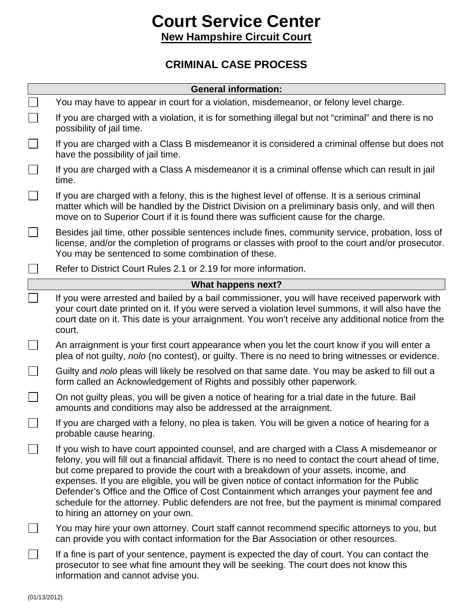## **Court Service Center New Hampshire Circuit Court**

## **CRIMINAL CASE PROCESS**

| <b>General information:</b> |                                                                                                                                                                                                                                                                                                                                                                                                                                                                                                                                                                                                                                |
|-----------------------------|--------------------------------------------------------------------------------------------------------------------------------------------------------------------------------------------------------------------------------------------------------------------------------------------------------------------------------------------------------------------------------------------------------------------------------------------------------------------------------------------------------------------------------------------------------------------------------------------------------------------------------|
|                             | You may have to appear in court for a violation, misdemeanor, or felony level charge.                                                                                                                                                                                                                                                                                                                                                                                                                                                                                                                                          |
|                             | If you are charged with a violation, it is for something illegal but not "criminal" and there is no<br>possibility of jail time.                                                                                                                                                                                                                                                                                                                                                                                                                                                                                               |
|                             | If you are charged with a Class B misdemeanor it is considered a criminal offense but does not<br>have the possibility of jail time.                                                                                                                                                                                                                                                                                                                                                                                                                                                                                           |
|                             | If you are charged with a Class A misdemeanor it is a criminal offense which can result in jail<br>time.                                                                                                                                                                                                                                                                                                                                                                                                                                                                                                                       |
|                             | If you are charged with a felony, this is the highest level of offense. It is a serious criminal<br>matter which will be handled by the District Division on a preliminary basis only, and will then<br>move on to Superior Court if it is found there was sufficient cause for the charge.                                                                                                                                                                                                                                                                                                                                    |
|                             | Besides jail time, other possible sentences include fines, community service, probation, loss of<br>license, and/or the completion of programs or classes with proof to the court and/or prosecutor.<br>You may be sentenced to some combination of these.                                                                                                                                                                                                                                                                                                                                                                     |
|                             | Refer to District Court Rules 2.1 or 2.19 for more information.                                                                                                                                                                                                                                                                                                                                                                                                                                                                                                                                                                |
| What happens next?          |                                                                                                                                                                                                                                                                                                                                                                                                                                                                                                                                                                                                                                |
|                             | If you were arrested and bailed by a bail commissioner, you will have received paperwork with<br>your court date printed on it. If you were served a violation level summons, it will also have the<br>court date on it. This date is your arraignment. You won't receive any additional notice from the<br>court.                                                                                                                                                                                                                                                                                                             |
|                             | An arraignment is your first court appearance when you let the court know if you will enter a<br>plea of not guilty, nolo (no contest), or guilty. There is no need to bring witnesses or evidence.                                                                                                                                                                                                                                                                                                                                                                                                                            |
|                             | Guilty and nolo pleas will likely be resolved on that same date. You may be asked to fill out a<br>form called an Acknowledgement of Rights and possibly other paperwork.                                                                                                                                                                                                                                                                                                                                                                                                                                                      |
|                             | On not guilty pleas, you will be given a notice of hearing for a trial date in the future. Bail<br>amounts and conditions may also be addressed at the arraignment.                                                                                                                                                                                                                                                                                                                                                                                                                                                            |
| ᅳ                           | If you are charged with a felony, no plea is taken. You will be given a notice of hearing for a<br>probable cause hearing.                                                                                                                                                                                                                                                                                                                                                                                                                                                                                                     |
|                             | If you wish to have court appointed counsel, and are charged with a Class A misdemeanor or<br>felony, you will fill out a financial affidavit. There is no need to contact the court ahead of time,<br>but come prepared to provide the court with a breakdown of your assets, income, and<br>expenses. If you are eligible, you will be given notice of contact information for the Public<br>Defender's Office and the Office of Cost Containment which arranges your payment fee and<br>schedule for the attorney. Public defenders are not free, but the payment is minimal compared<br>to hiring an attorney on your own. |
|                             | You may hire your own attorney. Court staff cannot recommend specific attorneys to you, but<br>can provide you with contact information for the Bar Association or other resources.                                                                                                                                                                                                                                                                                                                                                                                                                                            |
|                             | If a fine is part of your sentence, payment is expected the day of court. You can contact the<br>prosecutor to see what fine amount they will be seeking. The court does not know this<br>information and cannot advise you.                                                                                                                                                                                                                                                                                                                                                                                                   |